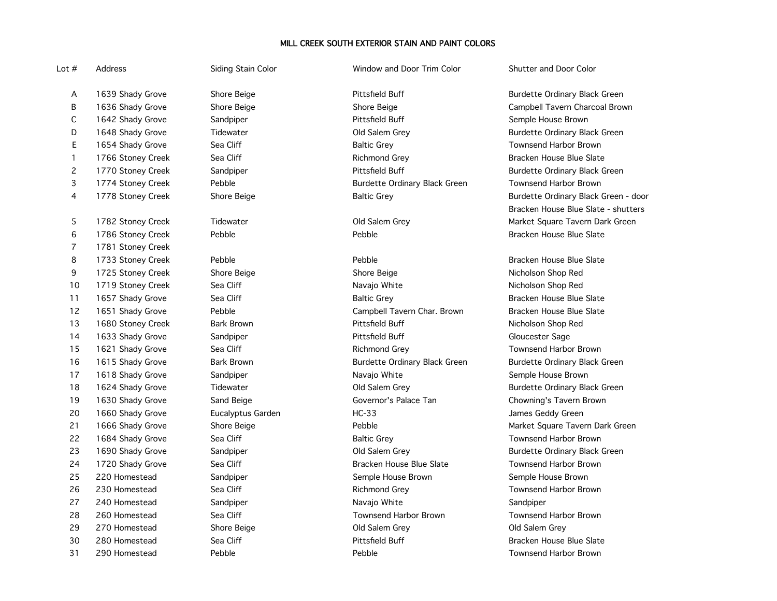# MILL CREEK SOUTH EXTERIOR STAIN AND PAINT COLORS

Lot # Address Siding Stain Color Window and Door Trim Color Shutter and Door Color

A 1639 Shady Grove Shore Beige Shore Beige Pittsfield Buff Shore Burdette Ordinary Black Green C 1642 Shady Grove Sandpiper Sandpiper Pittsfield Buff Semple House Brown D 1648 Shady Grove Tidewater Tidewater Old Salem Grey Survey Burdette Ordinary Black Green E 1654 Shady Grove Sea Cliff Sea Cliff Baltic Grey Shaltic Grey Sea Shanghout Baltic Grey Shanghout Brown 1 1766 Stoney Creek Sea Cliff Sea Cliff Richmond Grey Sea State Bracken House Blue Slate 2 1770 Stoney Creek Sandpiper Sandpiper Pittsfield Buff Stoney Burdette Ordinary Black Green 3 1774 Stoney Creek Pebble Burdette Ordinary Black Green Townsend Harbor Brown 6 1786 Stoney Creek Pebble Pebble Pebble Pebble Pebble Bracken House Blue Slate 7 1781 Stoney Creek 8 1733 Stoney Creek Pebble Pebble Pebble Pebble Pebble Bracken House Blue Slate 9 1725 Stoney Creek Shore Beige Shore Beige Nicholson Shop Red 10 1719 Stoney Creek Sea Cliff Sea Cliff Navajo White Navalo White Nicholson Shop Red 11 1657 Shady Grove Sea Cliff Sand Baltic Grey Shadware Bracken House Blue Slate 12 1651 Shady Grove **Pebble** Pebble Campbell Tavern Char. Brown Bracken House Blue Slate 13 1680 Stoney Creek Bark Brown Pittsfield Buff Nicholson Shop Red 14 1633 Shady Grove Sandpiper Sandpiper Pittsfield Buff Gloucester Sage 15 1621 Shady Grove Sea Cliff Sea Cliff Richmond Grey Sea Richmond Grey Sea Townsend Harbor Brown 16 1615 Shady Grove Bark Brown Burdette Ordinary Black Green Burdette Ordinary Black Green 17 1618 Shady Grove Sandpiper Sandpiper Navajo White Semple House Brown 18 1624 Shady Grove Tidewater Controller Cold Salem Grey Cold Salem Grey Burdette Ordinary Black Green 19 1630 Shady Grove Sand Beige Governor's Palace Tan Chowning's Tavern Brown 20 1660 Shady Grove Eucalyptus Garden HC-33 James Geddy Green 22 1684 Shady Grove Sea Cliff Sea Cliff Baltic Grey Search Baltic Grey Sea Townsend Harbor Brown 23 1690 Shady Grove Sandpiper Sandpiper Communication Cold Salem Grey Survey Burdette Ordinary Black Green 24 1720 Shady Grove Sea Cliff Sea Cliff State Bracken House Blue Slate Townsend Harbor Brown 25 220 Homestead Sandpiper Sandpiper Semple House Brown Semple House Brown 26 230 Homestead Sea Cliff Sea Cliff Sea Cliff Richmond Grey Sea Sea Townsend Harbor Brown 27 240 Homestead Sandpiper Navajo White Sandpiper 28 260 Homestead Sea Cliff Sea Cliff Townsend Harbor Brown Townsend Harbor Brown 29 270 Homestead Shore Beige Old Salem Grey Old Salem Grey 30 280 Homestead Sea Cliff Pittsfield Buff Bracken House Blue Slate

31 290 Homestead Pebble Pebble Townsend Harbor Brown

B 1636 Shady Grove Shore Beige Shore Shore Beige Shore Beige Campbell Tavern Charcoal Brown 4 1778 Stoney Creek Shore Beige Shore Baltic Grey Burdette Ordinary Black Green - door Bracken House Blue Slate - shutters 5 1782 Stoney Creek Tidewater Club Salem Grey Communic Controller Market Square Tavern Dark Green

21 1666 Shady Grove Shore Beige Shore Beige Pebble Shore Tavern Dark Green Narket Square Tavern Dark Green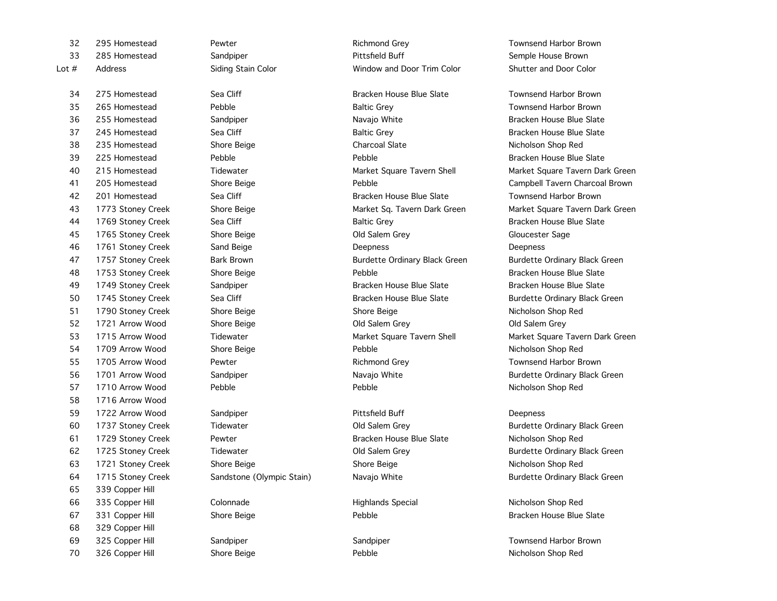275 Homestead Sea Cliff Bracken House Blue Slate Townsend Harbor Brown 1716 Arrow Wood 59 1722 Arrow Wood Sandpiper Sandpiper Pittsfield Buff Communication Deepness 339 Copper Hill 335 Copper Hill Colonnade Highlands Special Nicholson Shop Red 67 331 Copper Hill Shore Beige Shore Beige Pebble Bracken House Blue Slate 329 Copper Hill

32 295 Homestead **Pewter Pewter Richmond Grey Pewter** Richmond Grey Townsend Harbor Brown 33 285 Homestead Sandpiper Sandpiper Semple House Brown Semple House Brown Lot # Address Siding Stain Color Window and Door Trim Color Shutter and Door Color

35 265 Homestead Pebble Baltic Grey Townsend Harbor Brown 36 255 Homestead Sandpiper Sandpiper Navajo White Summer Sandows Blue Slate 37 245 Homestead Sea Cliff Sea Cliff Baltic Grey Baltic Grey Sea Bracken House Blue Slate 38 235 Homestead Shore Beige Charcoal Slate Nicholson Shop Red 39 225 Homestead Pebble Pebble Bracken House Blue Slate 42 201 Homestead Sea Cliff Sea Cliff Bracken House Blue Slate Townsend Harbor Brown 44 1769 Stoney Creek Sea Cliff Sand Baltic Grey Baltic Grey State Bracken House Blue Slate 45 1765 Stoney Creek Shore Beige Shore Beige Cloucester Sage Old Salem Grey Shore Gloucester Sage 46 1761 Stoney Creek Sand Beige Sand Beige Deepness Deepness Deepness Deepness 47 1757 Stoney Creek Bark Brown Bark Brown Burdette Ordinary Black Green Burdette Ordinary Black Green 48 1753 Stoney Creek Shore Beige Shore Beige Pebble Bracken House Blue Slate 49 1749 Stoney Creek Sandpiper Sandpiper Bracken House Blue Slate Bracken House Blue Slate 50 1745 Stoney Creek Sea Cliff Sea Cliff Bracken House Blue Slate Burdette Ordinary Black Green 51 1790 Stoney Creek Shore Beige Shore Beige Nicholson Shop Red 52 1721 Arrow Wood Shore Beige Old Salem Grey Old Salem Grey 54 1709 Arrow Wood Shore Beige Pebble Nicholson Shop Red 55 1705 Arrow Wood Pewter Pewter Richmond Grey Pewter Richmond Grey Richmond Grey Richmond Grey Richmond Grey Richmond Grey Richmond Grey Richmond Grey Richmond Grey Richmond Grey Richmond Grey Richmond Grey Richmond Grey 56 1701 Arrow Wood Sandpiper Sandpiper Navajo White Subsette Surgette Ordinary Black Green 57 1710 Arrow Wood Pebble Pebble Nicholson Shop Red

61 1729 Stoney Creek Pewter Bracken House Blue Slate Nicholson Shop Red 63 1721 Stoney Creek Shore Beige Shore Beige Nicholson Shop Red

40 215 Homestead Tidewater Market Square Tavern Shell Market Square Tavern Dark Green 41 205 Homestead Shore Beige Pebble Campbell Tavern Charcoal Brown 43 1773 Stoney Creek Shore Beige Shore Beige Shore Market Sq. Tavern Dark Green Market Square Tavern Dark Green 53 1715 Arrow Wood Tidewater The Market Square Tavern Shell Market Square Tavern Dark Green

60 1737 Stoney Creek Tidewater Old Salem Grey Burdette Ordinary Black Green 62 1725 Stoney Creek Tidewater Old Salem Grey Burdette Ordinary Black Green 64 1715 Stoney Creek Sandstone (Olympic Stain) Navajo White States Burdette Ordinary Black Green

69 325 Copper Hill Sandpiper Sandpiper Sandpiper Sandpiper Sandpiper Sandpiper Sandpiper Solution Service Service S 70 326 Copper Hill Shore Beige Pebble Nicholson Shop Red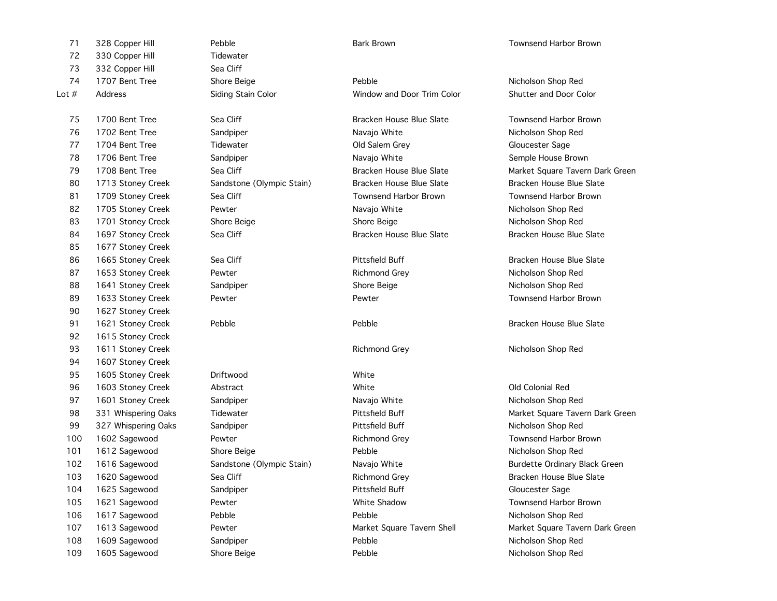| 71      | 328 Copper Hill     | Pebble                    | <b>Bark Brown</b>          | <b>Townsend Harbor Brown</b>    |
|---------|---------------------|---------------------------|----------------------------|---------------------------------|
| 72      | 330 Copper Hill     | Tidewater                 |                            |                                 |
| 73      | 332 Copper Hill     | Sea Cliff                 |                            |                                 |
| 74      | 1707 Bent Tree      | Shore Beige               | Pebble                     | Nicholson Shop Red              |
| Lot $#$ | Address             | Siding Stain Color        | Window and Door Trim Color | Shutter and Door Color          |
| 75      | 1700 Bent Tree      | Sea Cliff                 | Bracken House Blue Slate   | <b>Townsend Harbor Brown</b>    |
| 76      | 1702 Bent Tree      | Sandpiper                 | Navajo White               | Nicholson Shop Red              |
| 77      | 1704 Bent Tree      | Tidewater                 | Old Salem Grey             | Gloucester Sage                 |
| 78      | 1706 Bent Tree      | Sandpiper                 | Navajo White               | Semple House Brown              |
| 79      | 1708 Bent Tree      | Sea Cliff                 | Bracken House Blue Slate   | Market Square Tavern Dark Green |
| 80      | 1713 Stoney Creek   | Sandstone (Olympic Stain) | Bracken House Blue Slate   | Bracken House Blue Slate        |
| 81      | 1709 Stoney Creek   | Sea Cliff                 | Townsend Harbor Brown      | <b>Townsend Harbor Brown</b>    |
| 82      | 1705 Stoney Creek   | Pewter                    | Navajo White               | Nicholson Shop Red              |
| 83      | 1701 Stoney Creek   | Shore Beige               | Shore Beige                | Nicholson Shop Red              |
| 84      | 1697 Stoney Creek   | Sea Cliff                 | Bracken House Blue Slate   | Bracken House Blue Slate        |
| 85      | 1677 Stoney Creek   |                           |                            |                                 |
| 86      | 1665 Stoney Creek   | Sea Cliff                 | Pittsfield Buff            | Bracken House Blue Slate        |
| 87      | 1653 Stoney Creek   | Pewter                    | <b>Richmond Grey</b>       | Nicholson Shop Red              |
| 88      | 1641 Stoney Creek   | Sandpiper                 | Shore Beige                | Nicholson Shop Red              |
| 89      | 1633 Stoney Creek   | Pewter                    | Pewter                     | <b>Townsend Harbor Brown</b>    |
| 90      | 1627 Stoney Creek   |                           |                            |                                 |
| 91      | 1621 Stoney Creek   | Pebble                    | Pebble                     | Bracken House Blue Slate        |
| 92      | 1615 Stoney Creek   |                           |                            |                                 |
| 93      | 1611 Stoney Creek   |                           | <b>Richmond Grey</b>       | Nicholson Shop Red              |
| 94      | 1607 Stoney Creek   |                           |                            |                                 |
| 95      | 1605 Stoney Creek   | Driftwood                 | White                      |                                 |
| 96      | 1603 Stoney Creek   | Abstract                  | White                      | Old Colonial Red                |
| 97      | 1601 Stoney Creek   | Sandpiper                 | Navajo White               | Nicholson Shop Red              |
| 98      | 331 Whispering Oaks | Tidewater                 | Pittsfield Buff            | Market Square Tavern Dark Green |
| 99      | 327 Whispering Oaks | Sandpiper                 | Pittsfield Buff            | Nicholson Shop Red              |
| 100     | 1602 Sagewood       | Pewter                    | Richmond Grey              | <b>Townsend Harbor Brown</b>    |
| 101     | 1612 Sagewood       | Shore Beige               | Pebble                     | Nicholson Shop Red              |
| 102     | 1616 Sagewood       | Sandstone (Olympic Stain) | Navajo White               | Burdette Ordinary Black Green   |
| 103     | 1620 Sagewood       | Sea Cliff                 | Richmond Grey              | Bracken House Blue Slate        |
| 104     | 1625 Sagewood       | Sandpiper                 | Pittsfield Buff            | Gloucester Sage                 |
| 105     | 1621 Sagewood       | Pewter                    | White Shadow               | Townsend Harbor Brown           |
| 106     | 1617 Sagewood       | Pebble                    | Pebble                     | Nicholson Shop Red              |
| 107     | 1613 Sagewood       | Pewter                    | Market Square Tavern Shell | Market Square Tavern Dark Green |
| 108     | 1609 Sagewood       | Sandpiper                 | Pebble                     | Nicholson Shop Red              |
| 109     | 1605 Sagewood       | Shore Beige               | Pebble                     | Nicholson Shop Red              |
|         |                     |                           |                            |                                 |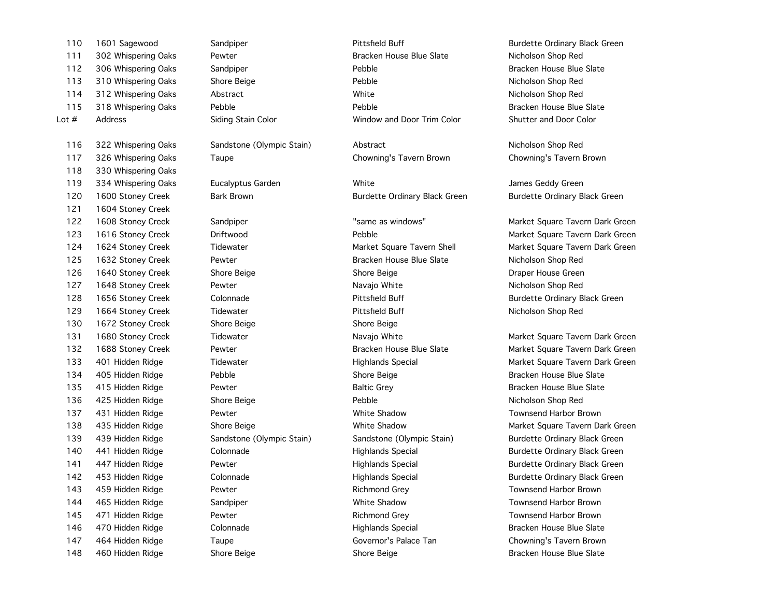| 110     | 1601 Sagewood       | Sandpiper                 | Pittsfield Buff               | <b>Burdette Ordinary Black</b> |
|---------|---------------------|---------------------------|-------------------------------|--------------------------------|
| 111     | 302 Whispering Oaks | Pewter                    | Bracken House Blue Slate      | Nicholson Shop Red             |
| 112     | 306 Whispering Oaks | Sandpiper                 | Pebble                        | Bracken House Blue Sla         |
| 113     | 310 Whispering Oaks | Shore Beige               | Pebble                        | Nicholson Shop Red             |
| 114     | 312 Whispering Oaks | Abstract                  | White                         | Nicholson Shop Red             |
| 115     | 318 Whispering Oaks | Pebble                    | Pebble                        | Bracken House Blue Sla         |
| Lot $#$ | Address             | Siding Stain Color        | Window and Door Trim Color    | Shutter and Door Color         |
| 116     | 322 Whispering Oaks | Sandstone (Olympic Stain) | Abstract                      | Nicholson Shop Red             |
| 117     | 326 Whispering Oaks | Taupe                     | Chowning's Tavern Brown       | Chowning's Tavern Brov         |
| 118     | 330 Whispering Oaks |                           |                               |                                |
| 119     | 334 Whispering Oaks | Eucalyptus Garden         | White                         | James Geddy Green              |
| 120     | 1600 Stoney Creek   | <b>Bark Brown</b>         | Burdette Ordinary Black Green | <b>Burdette Ordinary Black</b> |
| 121     | 1604 Stoney Creek   |                           |                               |                                |
| 122     | 1608 Stoney Creek   | Sandpiper                 | "same as windows"             | Market Square Tavern D         |
| 123     | 1616 Stoney Creek   | Driftwood                 | Pebble                        | Market Square Tavern D         |
| 124     | 1624 Stoney Creek   | Tidewater                 | Market Square Tavern Shell    | Market Square Tavern D         |
| 125     | 1632 Stoney Creek   | Pewter                    | Bracken House Blue Slate      | Nicholson Shop Red             |
| 126     | 1640 Stoney Creek   | Shore Beige               | Shore Beige                   | Draper House Green             |
| 127     | 1648 Stoney Creek   | Pewter                    | Navajo White                  | Nicholson Shop Red             |
| 128     | 1656 Stoney Creek   | Colonnade                 | Pittsfield Buff               | <b>Burdette Ordinary Black</b> |
| 129     | 1664 Stoney Creek   | Tidewater                 | Pittsfield Buff               | Nicholson Shop Red             |
| 130     | 1672 Stoney Creek   | Shore Beige               | Shore Beige                   |                                |
| 131     | 1680 Stoney Creek   | Tidewater                 | Navajo White                  | Market Square Tavern D         |
| 132     | 1688 Stoney Creek   | Pewter                    | Bracken House Blue Slate      | Market Square Tavern D         |
| 133     | 401 Hidden Ridge    | Tidewater                 | <b>Highlands Special</b>      | Market Square Tavern D         |
| 134     | 405 Hidden Ridge    | Pebble                    | Shore Beige                   | Bracken House Blue Sla         |
| 135     | 415 Hidden Ridge    | Pewter                    | <b>Baltic Grey</b>            | Bracken House Blue Sla         |
| 136     | 425 Hidden Ridge    | Shore Beige               | Pebble                        | Nicholson Shop Red             |
| 137     | 431 Hidden Ridge    | Pewter                    | White Shadow                  | <b>Townsend Harbor Brow</b>    |
| 138     | 435 Hidden Ridge    | Shore Beige               | White Shadow                  | Market Square Tavern D         |
| 139     | 439 Hidden Ridge    | Sandstone (Olympic Stain) | Sandstone (Olympic Stain)     | <b>Burdette Ordinary Black</b> |
| 140     | 441 Hidden Ridge    | Colonnade                 | <b>Highlands Special</b>      | <b>Burdette Ordinary Black</b> |
| 141     | 447 Hidden Ridge    | Pewter                    | <b>Highlands Special</b>      | <b>Burdette Ordinary Black</b> |
| 142     | 453 Hidden Ridge    | Colonnade                 | <b>Highlands Special</b>      | <b>Burdette Ordinary Black</b> |
| 143     | 459 Hidden Ridge    | Pewter                    | <b>Richmond Grey</b>          | <b>Townsend Harbor Brow</b>    |
| 144     | 465 Hidden Ridge    | Sandpiper                 | White Shadow                  | <b>Townsend Harbor Brow</b>    |
| 145     | 471 Hidden Ridge    | Pewter                    | Richmond Grey                 | <b>Townsend Harbor Brow</b>    |
| 146     | 470 Hidden Ridge    | Colonnade                 | <b>Highlands Special</b>      | Bracken House Blue Sla         |
| 147     | 464 Hidden Ridge    | Taupe                     | Governor's Palace Tan         | Chowning's Tavern Brov         |
| 148     | 460 Hidden Ridge    | Shore Beige               | Shore Beige                   | Bracken House Blue Sla         |

110 1601 Sagewood Sandpiper Pittsfield Buff Burdette Ordinary Black Green 111 302 Whispering Oaks Pewter Bracken House Blue Slate Nicholson Shop Red 112 Sandpiper 112 306 Membre 206 Pebble Bracken House Blue Slate 113 Shore Beige **113 310 Shore Beige Pebble** Pebble 2014 Shore Nicholson Shop Red 114 Abstract 114 Million Christian Million Christian Micholson Shop Red Nicholson Shop Red Pebble 115 318 Bracken House Blue Slate

Eucalyptus Garden **119 334 White Communist Communist Communist Communist Communist Communist Communist Communist Communist Communist Communist Communist Communist Communist Communist Communist Communist Communist Communist** 120 1600 Bark Brown Burdette Ordinary Black Green Burdette Ordinary Black Green Burdette Ordinary Black Green

125 1632 Stoney Creek Pewter Bracken House Blue Slate Nicholson Shop Red 126 1640 Shore Beige Shore Beige Shore Beige Shore Beige Shore Beige Draper House Green 127 1648 Pewter Navajo White Navajo White Nicholson Shop Red Tidewater **129 1664 Stoney Creek Tidewater** Pittsfield Buff Nicholson Shop Red 131 1153 1680 Tidewater Creek Tidewater Navajo White Market Square Tavern Dark Green 134 405 Hidden Ridge Pebble Shore Beige Bracken House Blue Slate Pewter 135 135 Higgs Baltic Grey 135 House Blue Slate Pewter Bracken House Blue Slate 136 425 Hidden Ridge Shore Beige Pebble Nicholson Shop Red 137 431 Hidden Ridge Pewter White Shadow Townsend Harbor Brown 143 459 Hidden Ridge Pewter Richmond Grey Townsend Harbor Brown 144 Sandpiper 264 Hoursend Harbor Brown Ridge Shadow Townsend Harbor Brown Pewter **145 145 145 Higgs Pewter Richmond Grey 145 145 145 145 145 Howard Harbor Brown** 146 470 Hidden Ridge Colonnade Highlands Special Bracken House Blue Slate Taupe **147 147 147 147 Higger Converts Covernor's Palace Tan Chowning's Tavern Brown** 148 Shore Beige Shore Beige Shore Beige Shore Bracken House Blue Slate

 1608 Stoney Creek Sandpiper "same as windows" Market Square Tavern Dark Green 123 1616 172 1616 172 1616 Driftwood Pebble Pebble Square Tavern Dark Green Dark Green 1624 Stoney Creek Tidewater Market Square Tavern Shell Market Square Tavern Dark Green 1656 Stoney Creek Colonnade Pittsfield Buff Burdette Ordinary Black Green

132 132 1688 Pewter Creek Pewter Bracken House Blue Slate Market Square Tavern Dark Green 133 401 Hidden Ridge Tidewater Highlands Special Market Square Tavern Dark Green 138 Shore Beige Tavern Barket Supersection and Market Square Tavern Dark Green 139 439 Hidden Ridge Sandstone (Olympic Stain) Sandstone (Olympic Stain) Burdette Ordinary Black Green 140 441 Hidden Ridge Colonnade Highlands Special Burdette Ordinary Black Green 141 Pewter 1414 Highlands Special Burdette Ordinary Black Green 142 453 Hidden Ridge Colonnade Highlands Special Burdette Ordinary Black Green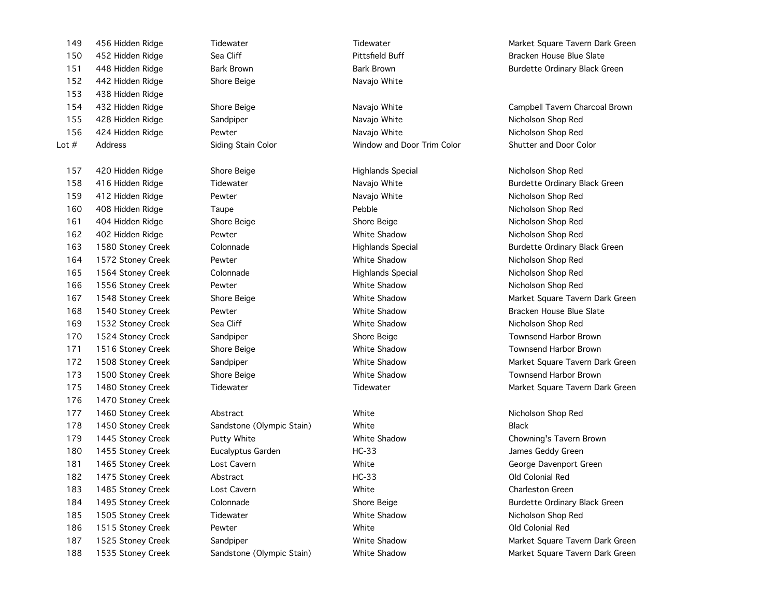| 151     | 448 Hidden Ridge  | <b>Bark Brown</b>         | <b>Bark Brown</b>          | <b>Burdette Ordinary Black</b> |
|---------|-------------------|---------------------------|----------------------------|--------------------------------|
| 152     | 442 Hidden Ridge  | Shore Beige               | Navajo White               |                                |
| 153     | 438 Hidden Ridge  |                           |                            |                                |
| 154     | 432 Hidden Ridge  | Shore Beige               | Navajo White               | Campbell Tavern Charco         |
| 155     | 428 Hidden Ridge  | Sandpiper                 | Navajo White               | Nicholson Shop Red             |
| 156     | 424 Hidden Ridge  | Pewter                    | Navajo White               | Nicholson Shop Red             |
| Lot $#$ | Address           | Siding Stain Color        | Window and Door Trim Color | Shutter and Door Color         |
| 157     | 420 Hidden Ridge  | Shore Beige               | <b>Highlands Special</b>   | Nicholson Shop Red             |
| 158     | 416 Hidden Ridge  | Tidewater                 | Navajo White               | <b>Burdette Ordinary Black</b> |
| 159     | 412 Hidden Ridge  | Pewter                    | Navajo White               | Nicholson Shop Red             |
| 160     | 408 Hidden Ridge  | Taupe                     | Pebble                     | Nicholson Shop Red             |
| 161     | 404 Hidden Ridge  | Shore Beige               | Shore Beige                | Nicholson Shop Red             |
| 162     | 402 Hidden Ridge  | Pewter                    | White Shadow               | Nicholson Shop Red             |
| 163     | 1580 Stoney Creek | Colonnade                 | <b>Highlands Special</b>   | <b>Burdette Ordinary Black</b> |
| 164     | 1572 Stoney Creek | Pewter                    | White Shadow               | Nicholson Shop Red             |
| 165     | 1564 Stoney Creek | Colonnade                 | <b>Highlands Special</b>   | Nicholson Shop Red             |
| 166     | 1556 Stoney Creek | Pewter                    | White Shadow               | Nicholson Shop Red             |
| 167     | 1548 Stoney Creek | Shore Beige               | White Shadow               | Market Square Tavern D         |
| 168     | 1540 Stoney Creek | Pewter                    | White Shadow               | Bracken House Blue Slat        |
| 169     | 1532 Stoney Creek | Sea Cliff                 | White Shadow               | Nicholson Shop Red             |
| 170     | 1524 Stoney Creek | Sandpiper                 | Shore Beige                | <b>Townsend Harbor Browr</b>   |
| 171     | 1516 Stoney Creek | Shore Beige               | White Shadow               | <b>Townsend Harbor Browr</b>   |
| 172     | 1508 Stoney Creek | Sandpiper                 | White Shadow               | Market Square Tavern D         |
| 173     | 1500 Stoney Creek | Shore Beige               | White Shadow               | <b>Townsend Harbor Browr</b>   |
| 175     | 1480 Stoney Creek | Tidewater                 | Tidewater                  | Market Square Tavern D         |
| 176     | 1470 Stoney Creek |                           |                            |                                |
| 177     | 1460 Stoney Creek | Abstract                  | White                      | Nicholson Shop Red             |
| 178     | 1450 Stoney Creek | Sandstone (Olympic Stain) | White                      | <b>Black</b>                   |
| 179     | 1445 Stoney Creek | Putty White               | White Shadow               | Chowning's Tavern Brov         |
| 180     | 1455 Stoney Creek | Eucalyptus Garden         | $HC-33$                    | James Geddy Green              |
| 181     | 1465 Stoney Creek | Lost Cavern               | White                      | George Davenport Gree          |
| 182     | 1475 Stoney Creek | Abstract                  | $HC-33$                    | Old Colonial Red               |
| 183     | 1485 Stoney Creek | Lost Cavern               | White                      | <b>Charleston Green</b>        |
| 184     | 1495 Stoney Creek | Colonnade                 | Shore Beige                | <b>Burdette Ordinary Black</b> |
| 185     | 1505 Stoney Creek | Tidewater                 | White Shadow               | Nicholson Shop Red             |
| 186     | 1515 Stoney Creek | Pewter                    | White                      | Old Colonial Red               |
| 187     | 1525 Stoney Creek | Sandpiper                 | <b>Wnite Shadow</b>        | Market Square Tavern D         |
| 188     | 1535 Stoney Creek | Sandetone (Olympic Stain) | White Shadow               | Market Square Tayern D         |

152 Shore Beige Navajo White

149 456 Hidden Ridge Tidewater Tidewater Tidewater Tidewater The Market Square Tavern Dark Green 150 452 Hidden Ridge Sea Cliff Sea Cliff Pittsfield Buff Pittsfield Buff Bracken House Blue Slate 151 Bark Brown Bark Brown Bark Brown Burdette Ordinary Black Green

154 432 Hidden Ridge Shore Beige Navajo White Campbell Tavern Charcoal Brown

Tidewater **158 168 Higger Tidewater** Navajo White **Navalo Ridge Tidewater Burdette Ordinary Black Green** 159 412 Hidden Ridge Pewter Navajo White Nicholson Shop Red 160 408 Hidden Ridge Taupe Pebble Nicholson Shop Red 161 404 Hidden Ridge Shore Beige Shore Beige Nicholson Shop Red 162 402 Hidden Ridge Pewter White Shadow Nicholson Shop Red 163 1580 Stoney Creek Colonnade Highlands Special Burdette Ordinary Black Green 164 1572 Stoney Creek Pewter White Shadow Nicholson Shop Red 165 1564 Stoney Creek Colonnade Highlands Special Nicholson Shop Red 166 1556 Stoney Creek Pewter White Shadow Nicholson Shop Red 167 167 167 167 167 167 167 167 167 1688 Shore Beige White Shadow Market Square Tavern Dark Green **168 1680 Pewter Creek Pewter Creek Pewter Shadow Bracken House Blue Slate** 169 1532 Stoney Creek Sea Cliff White Shadow Nicholson Shop Red 170 Sandpiper 170 1524 Shore Beige Shore Server Shore Townsend Harbor Brown 171 171 1716 Shore Beige Creek Shadow Creek Shore Beige Shore Brown Townsend Harbor Brown 172 Sandpiper 172 172 172 172 172 172 173 173 173 173 174 Market Square Tavern Dark Green 173 173 1500 Shore Beige Creek Shadow Charles Shore Beige Shore Brown 175 1480 Stoney Creek Tidewater Tidewater Market Square Tavern Dark Green

Putty White **179 1445 Stoney Communist Putty White Shadow** Chowning's Tavern Brown 184 1495 Colonnade 2014 Shore Beige Colonnade Shore Beige Burdette Ordinary Black Green 187 1525 Sandpiper 187 1525 White Shadow Market Square Tavern Dark Green 188 1535 Stoney Creek Sandstone (Olympic Stain) White Shadow Market Square Tavern Dark Green